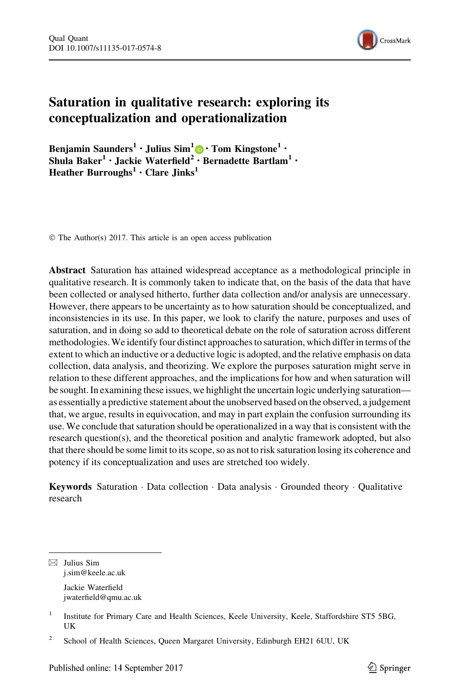

# Saturation in qualitative research: exploring its conceptualization and operationalization

Benjamin Saunders<sup>1</sup> · Julius  $Sim<sup>1</sup> \oplus$  · Tom Kingstone<sup>1</sup> · Shula Baker<sup>1</sup> · Jackie Waterfield<sup>2</sup> · Bernadette Bartlam<sup>1</sup> · Heather Burroughs<sup>1</sup> • Clare Jinks<sup>1</sup>

© The Author(s) 2017. This article is an open access publication

Abstract Saturation has attained widespread acceptance as a methodological principle in qualitative research. It is commonly taken to indicate that, on the basis of the data that have been collected or analysed hitherto, further data collection and/or analysis are unnecessary. However, there appears to be uncertainty as to how saturation should be conceptualized, and inconsistencies in its use. In this paper, we look to clarify the nature, purposes and uses of saturation, and in doing so add to theoretical debate on the role of saturation across different methodologies. We identify four distinct approaches to saturation, which differ in terms of the extent to which an inductive or a deductive logic is adopted, and the relative emphasis on data collection, data analysis, and theorizing. We explore the purposes saturation might serve in relation to these different approaches, and the implications for how and when saturation will be sought. In examining these issues, we highlight the uncertain logic underlying saturation as essentially a predictive statement about the unobserved based on the observed, a judgement that, we argue, results in equivocation, and may in part explain the confusion surrounding its use. We conclude that saturation should be operationalized in a way that is consistent with the research question(s), and the theoretical position and analytic framework adopted, but also that there should be some limit to its scope, so as not to risk saturation losing its coherence and potency if its conceptualization and uses are stretched too widely.

Keywords Saturation · Data collection · Data analysis · Grounded theory · Qualitative research

 $\boxtimes$  Julius Sim j.sim@keele.ac.uk Jackie Waterfield jwaterfield@qmu.ac.uk

<sup>&</sup>lt;sup>1</sup> Institute for Primary Care and Health Sciences, Keele University, Keele, Staffordshire ST5 5BG, UK

<sup>&</sup>lt;sup>2</sup> School of Health Sciences, Queen Margaret University, Edinburgh EH21 6UU, UK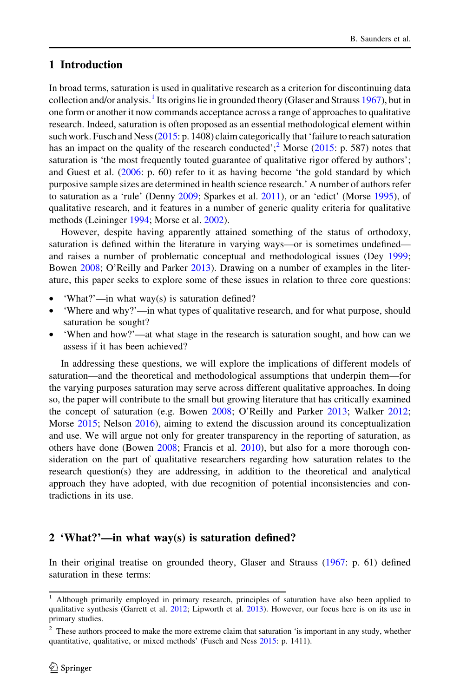## 1 Introduction

In broad terms, saturation is used in qualitative research as a criterion for discontinuing data collection and/or analysis.<sup>1</sup> Its origins lie in grounded theory (Glaser and Strauss [1967](#page-13-0)), but in one form or another it now commands acceptance across a range of approaches to qualitative research. Indeed, saturation is often proposed as an essential methodological element within such work. Fusch and Ness ([2015:](#page-12-0) p. 1408) claim categorically that 'failure to reach saturation has an impact on the quality of the research conducted';<sup>2</sup> Morse ([2015:](#page-13-0) p. 587) notes that saturation is 'the most frequently touted guarantee of qualitative rigor offered by authors'; and Guest et al. ([2006:](#page-13-0) p. 60) refer to it as having become 'the gold standard by which purposive sample sizes are determined in health science research.' A number of authors refer to saturation as a 'rule' (Denny [2009](#page-12-0); Sparkes et al. [2011\)](#page-14-0), or an 'edict' (Morse [1995](#page-13-0)), of qualitative research, and it features in a number of generic quality criteria for qualitative methods (Leininger [1994;](#page-13-0) Morse et al. [2002](#page-13-0)).

However, despite having apparently attained something of the status of orthodoxy, saturation is defined within the literature in varying ways—or is sometimes undefined and raises a number of problematic conceptual and methodological issues (Dey [1999;](#page-12-0) Bowen [2008;](#page-12-0) O'Reilly and Parker [2013\)](#page-14-0). Drawing on a number of examples in the literature, this paper seeks to explore some of these issues in relation to three core questions:

- 'What?'—in what way(s) is saturation defined?
- 'Where and why?'—in what types of qualitative research, and for what purpose, should saturation be sought?
- 'When and how?'—at what stage in the research is saturation sought, and how can we assess if it has been achieved?

In addressing these questions, we will explore the implications of different models of saturation—and the theoretical and methodological assumptions that underpin them—for the varying purposes saturation may serve across different qualitative approaches. In doing so, the paper will contribute to the small but growing literature that has critically examined the concept of saturation (e.g. Bowen [2008](#page-12-0); O'Reilly and Parker [2013;](#page-14-0) Walker [2012;](#page-14-0) Morse [2015](#page-13-0); Nelson [2016](#page-13-0)), aiming to extend the discussion around its conceptualization and use. We will argue not only for greater transparency in the reporting of saturation, as others have done (Bowen [2008](#page-12-0); Francis et al. [2010](#page-12-0)), but also for a more thorough consideration on the part of qualitative researchers regarding how saturation relates to the research question(s) they are addressing, in addition to the theoretical and analytical approach they have adopted, with due recognition of potential inconsistencies and contradictions in its use.

## 2 'What?'—in what way(s) is saturation defined?

In their original treatise on grounded theory, Glaser and Strauss [\(1967](#page-13-0): p. 61) defined saturation in these terms:

<sup>1</sup> Although primarily employed in primary research, principles of saturation have also been applied to qualitative synthesis (Garrett et al. [2012;](#page-12-0) Lipworth et al. [2013\)](#page-13-0). However, our focus here is on its use in primary studies.

<sup>2</sup> These authors proceed to make the more extreme claim that saturation 'is important in any study, whether quantitative, qualitative, or mixed methods' (Fusch and Ness [2015](#page-12-0): p. 1411).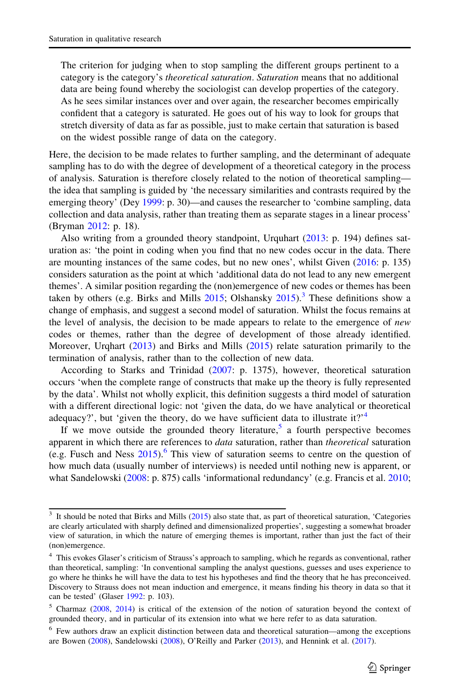The criterion for judging when to stop sampling the different groups pertinent to a category is the category's theoretical saturation. Saturation means that no additional data are being found whereby the sociologist can develop properties of the category. As he sees similar instances over and over again, the researcher becomes empirically confident that a category is saturated. He goes out of his way to look for groups that stretch diversity of data as far as possible, just to make certain that saturation is based on the widest possible range of data on the category.

Here, the decision to be made relates to further sampling, and the determinant of adequate sampling has to do with the degree of development of a theoretical category in the process of analysis. Saturation is therefore closely related to the notion of theoretical sampling the idea that sampling is guided by 'the necessary similarities and contrasts required by the emerging theory' (Dey [1999:](#page-12-0) p. 30)—and causes the researcher to 'combine sampling, data collection and data analysis, rather than treating them as separate stages in a linear process' (Bryman [2012:](#page-12-0) p. 18).

Also writing from a grounded theory standpoint, Urquhart [\(2013](#page-14-0): p. 194) defines saturation as: 'the point in coding when you find that no new codes occur in the data. There are mounting instances of the same codes, but no new ones', whilst Given ([2016:](#page-12-0) p. 135) considers saturation as the point at which 'additional data do not lead to any new emergent themes'. A similar position regarding the (non)emergence of new codes or themes has been taken by others (e.g. Birks and Mills  $2015$ ; Olshansky  $2015$ ).<sup>3</sup> These definitions show a change of emphasis, and suggest a second model of saturation. Whilst the focus remains at the level of analysis, the decision to be made appears to relate to the emergence of new codes or themes, rather than the degree of development of those already identified. Moreover, Urqhart ([2013\)](#page-14-0) and Birks and Mills ([2015\)](#page-12-0) relate saturation primarily to the termination of analysis, rather than to the collection of new data.

According to Starks and Trinidad ([2007:](#page-14-0) p. 1375), however, theoretical saturation occurs 'when the complete range of constructs that make up the theory is fully represented by the data'. Whilst not wholly explicit, this definition suggests a third model of saturation with a different directional logic: not 'given the data, do we have analytical or theoretical adequacy?', but 'given the theory, do we have sufficient data to illustrate it?'<sup>4</sup>

If we move outside the grounded theory literature,  $\frac{5}{3}$  a fourth perspective becomes apparent in which there are references to *data* saturation, rather than *theoretical* saturation (e.g. Fusch and Ness  $2015$ ).<sup>6</sup> This view of saturation seems to centre on the question of how much data (usually number of interviews) is needed until nothing new is apparent, or what Sandelowski [\(2008](#page-14-0): p. 875) calls 'informational redundancy' (e.g. Francis et al. [2010;](#page-12-0)

 $3$  It should be noted that Birks and Mills ([2015\)](#page-12-0) also state that, as part of theoretical saturation, 'Categories are clearly articulated with sharply defined and dimensionalized properties', suggesting a somewhat broader view of saturation, in which the nature of emerging themes is important, rather than just the fact of their (non)emergence.

<sup>&</sup>lt;sup>4</sup> This evokes Glaser's criticism of Strauss's approach to sampling, which he regards as conventional, rather than theoretical, sampling: 'In conventional sampling the analyst questions, guesses and uses experience to go where he thinks he will have the data to test his hypotheses and find the theory that he has preconceived. Discovery to Strauss does not mean induction and emergence, it means finding his theory in data so that it can be tested' (Glaser [1992:](#page-13-0) p. 103).

 $5$  Charmaz ([2008,](#page-12-0) [2014](#page-12-0)) is critical of the extension of the notion of saturation beyond the context of grounded theory, and in particular of its extension into what we here refer to as data saturation.

<sup>6</sup> Few authors draw an explicit distinction between data and theoretical saturation—among the exceptions are Bowen [\(2008\)](#page-12-0), Sandelowski [\(2008](#page-14-0)), O'Reilly and Parker [\(2013](#page-14-0)), and Hennink et al. [\(2017](#page-13-0)).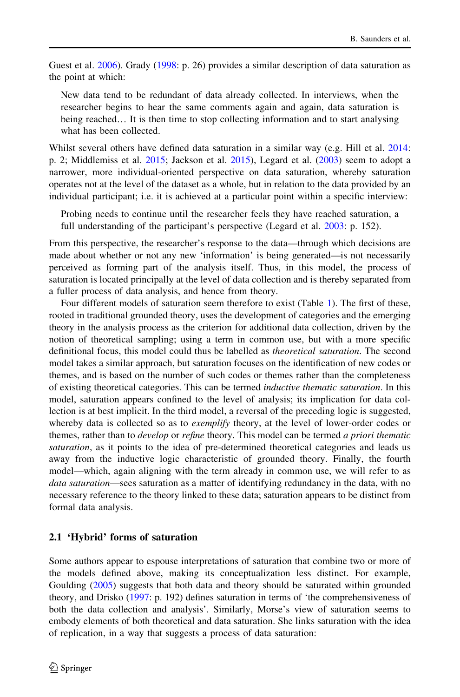Guest et al. [2006](#page-13-0)). Grady ([1998:](#page-13-0) p. 26) provides a similar description of data saturation as the point at which:

New data tend to be redundant of data already collected. In interviews, when the researcher begins to hear the same comments again and again, data saturation is being reached… It is then time to stop collecting information and to start analysing what has been collected.

Whilst several others have defined data saturation in a similar way (e.g. Hill et al. [2014:](#page-13-0) p. 2; Middlemiss et al. [2015](#page-13-0); Jackson et al. [2015](#page-13-0)), Legard et al. ([2003\)](#page-13-0) seem to adopt a narrower, more individual-oriented perspective on data saturation, whereby saturation operates not at the level of the dataset as a whole, but in relation to the data provided by an individual participant; i.e. it is achieved at a particular point within a specific interview:

Probing needs to continue until the researcher feels they have reached saturation, a full understanding of the participant's perspective (Legard et al. [2003:](#page-13-0) p. 152).

From this perspective, the researcher's response to the data—through which decisions are made about whether or not any new 'information' is being generated—is not necessarily perceived as forming part of the analysis itself. Thus, in this model, the process of saturation is located principally at the level of data collection and is thereby separated from a fuller process of data analysis, and hence from theory.

Four different models of saturation seem therefore to exist (Table [1](#page-4-0)). The first of these, rooted in traditional grounded theory, uses the development of categories and the emerging theory in the analysis process as the criterion for additional data collection, driven by the notion of theoretical sampling; using a term in common use, but with a more specific definitional focus, this model could thus be labelled as theoretical saturation. The second model takes a similar approach, but saturation focuses on the identification of new codes or themes, and is based on the number of such codes or themes rather than the completeness of existing theoretical categories. This can be termed inductive thematic saturation. In this model, saturation appears confined to the level of analysis; its implication for data collection is at best implicit. In the third model, a reversal of the preceding logic is suggested, whereby data is collected so as to exemplify theory, at the level of lower-order codes or themes, rather than to *develop* or *refine* theory. This model can be termed a priori thematic saturation, as it points to the idea of pre-determined theoretical categories and leads us away from the inductive logic characteristic of grounded theory. Finally, the fourth model—which, again aligning with the term already in common use, we will refer to as data saturation—sees saturation as a matter of identifying redundancy in the data, with no necessary reference to the theory linked to these data; saturation appears to be distinct from formal data analysis.

#### 2.1 'Hybrid' forms of saturation

Some authors appear to espouse interpretations of saturation that combine two or more of the models defined above, making its conceptualization less distinct. For example, Goulding ([2005\)](#page-13-0) suggests that both data and theory should be saturated within grounded theory, and Drisko ([1997:](#page-12-0) p. 192) defines saturation in terms of 'the comprehensiveness of both the data collection and analysis'. Similarly, Morse's view of saturation seems to embody elements of both theoretical and data saturation. She links saturation with the idea of replication, in a way that suggests a process of data saturation: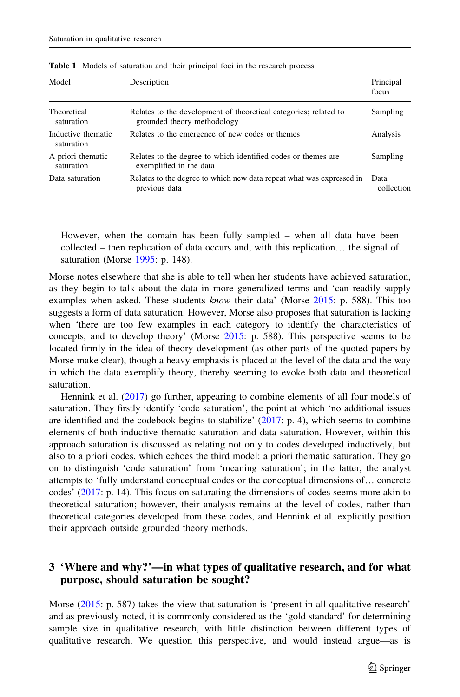| Model                            | Description                                                                                     | Principal<br>focus |
|----------------------------------|-------------------------------------------------------------------------------------------------|--------------------|
| Theoretical<br>saturation        | Relates to the development of theoretical categories; related to<br>grounded theory methodology | Sampling           |
| Inductive thematic<br>saturation | Relates to the emergence of new codes or themes                                                 | Analysis           |
| A priori thematic<br>saturation  | Relates to the degree to which identified codes or themes are<br>exemplified in the data        | Sampling           |
| Data saturation                  | Relates to the degree to which new data repeat what was expressed in<br>previous data           | Data<br>collection |

<span id="page-4-0"></span>Table 1 Models of saturation and their principal foci in the research process

However, when the domain has been fully sampled – when all data have been collected – then replication of data occurs and, with this replication… the signal of saturation (Morse [1995](#page-13-0): p. 148).

Morse notes elsewhere that she is able to tell when her students have achieved saturation, as they begin to talk about the data in more generalized terms and 'can readily supply examples when asked. These students know their data' (Morse [2015:](#page-13-0) p. 588). This too suggests a form of data saturation. However, Morse also proposes that saturation is lacking when 'there are too few examples in each category to identify the characteristics of concepts, and to develop theory' (Morse [2015](#page-13-0): p. 588). This perspective seems to be located firmly in the idea of theory development (as other parts of the quoted papers by Morse make clear), though a heavy emphasis is placed at the level of the data and the way in which the data exemplify theory, thereby seeming to evoke both data and theoretical saturation.

Hennink et al. [\(2017](#page-13-0)) go further, appearing to combine elements of all four models of saturation. They firstly identify 'code saturation', the point at which 'no additional issues are identified and the codebook begins to stabilize'  $(2017: p. 4)$  $(2017: p. 4)$  $(2017: p. 4)$ , which seems to combine elements of both inductive thematic saturation and data saturation. However, within this approach saturation is discussed as relating not only to codes developed inductively, but also to a priori codes, which echoes the third model: a priori thematic saturation. They go on to distinguish 'code saturation' from 'meaning saturation'; in the latter, the analyst attempts to 'fully understand conceptual codes or the conceptual dimensions of… concrete codes' [\(2017](#page-13-0): p. 14). This focus on saturating the dimensions of codes seems more akin to theoretical saturation; however, their analysis remains at the level of codes, rather than theoretical categories developed from these codes, and Hennink et al. explicitly position their approach outside grounded theory methods.

## 3 'Where and why?'—in what types of qualitative research, and for what purpose, should saturation be sought?

Morse [\(2015](#page-13-0): p. 587) takes the view that saturation is 'present in all qualitative research' and as previously noted, it is commonly considered as the 'gold standard' for determining sample size in qualitative research, with little distinction between different types of qualitative research. We question this perspective, and would instead argue—as is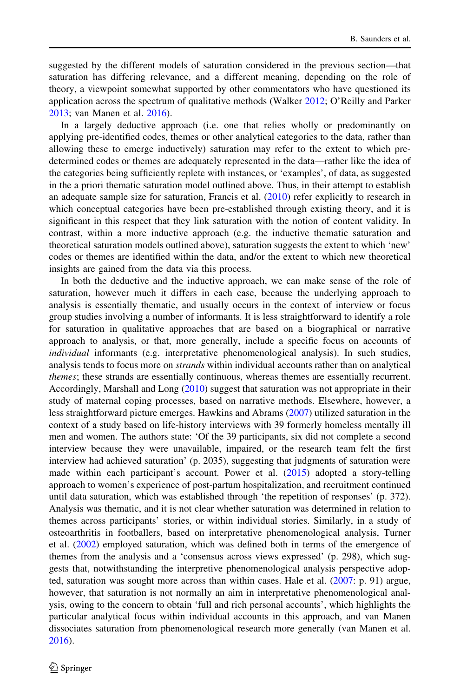suggested by the different models of saturation considered in the previous section—that saturation has differing relevance, and a different meaning, depending on the role of theory, a viewpoint somewhat supported by other commentators who have questioned its application across the spectrum of qualitative methods (Walker [2012](#page-14-0); O'Reilly and Parker [2013;](#page-14-0) van Manen et al. [2016](#page-14-0)).

In a largely deductive approach (i.e. one that relies wholly or predominantly on applying pre-identified codes, themes or other analytical categories to the data, rather than allowing these to emerge inductively) saturation may refer to the extent to which predetermined codes or themes are adequately represented in the data—rather like the idea of the categories being sufficiently replete with instances, or 'examples', of data, as suggested in the a priori thematic saturation model outlined above. Thus, in their attempt to establish an adequate sample size for saturation, Francis et al.  $(2010)$  $(2010)$  refer explicitly to research in which conceptual categories have been pre-established through existing theory, and it is significant in this respect that they link saturation with the notion of content validity. In contrast, within a more inductive approach (e.g. the inductive thematic saturation and theoretical saturation models outlined above), saturation suggests the extent to which 'new' codes or themes are identified within the data, and/or the extent to which new theoretical insights are gained from the data via this process.

In both the deductive and the inductive approach, we can make sense of the role of saturation, however much it differs in each case, because the underlying approach to analysis is essentially thematic, and usually occurs in the context of interview or focus group studies involving a number of informants. It is less straightforward to identify a role for saturation in qualitative approaches that are based on a biographical or narrative approach to analysis, or that, more generally, include a specific focus on accounts of individual informants (e.g. interpretative phenomenological analysis). In such studies, analysis tends to focus more on strands within individual accounts rather than on analytical themes; these strands are essentially continuous, whereas themes are essentially recurrent. Accordingly, Marshall and Long ([2010](#page-13-0)) suggest that saturation was not appropriate in their study of maternal coping processes, based on narrative methods. Elsewhere, however, a less straightforward picture emerges. Hawkins and Abrams [\(2007](#page-13-0)) utilized saturation in the context of a study based on life-history interviews with 39 formerly homeless mentally ill men and women. The authors state: 'Of the 39 participants, six did not complete a second interview because they were unavailable, impaired, or the research team felt the first interview had achieved saturation' (p. 2035), suggesting that judgments of saturation were made within each participant's account. Power et al. [\(2015\)](#page-14-0) adopted a story-telling approach to women's experience of post-partum hospitalization, and recruitment continued until data saturation, which was established through 'the repetition of responses' (p. 372). Analysis was thematic, and it is not clear whether saturation was determined in relation to themes across participants' stories, or within individual stories. Similarly, in a study of osteoarthritis in footballers, based on interpretative phenomenological analysis, Turner et al. ([2002\)](#page-14-0) employed saturation, which was defined both in terms of the emergence of themes from the analysis and a 'consensus across views expressed' (p. 298), which suggests that, notwithstanding the interpretive phenomenological analysis perspective adopted, saturation was sought more across than within cases. Hale et al. ([2007](#page-13-0): p. 91) argue, however, that saturation is not normally an aim in interpretative phenomenological analysis, owing to the concern to obtain 'full and rich personal accounts', which highlights the particular analytical focus within individual accounts in this approach, and van Manen dissociates saturation from phenomenological research more generally (van Manen et al. [2016\)](#page-14-0).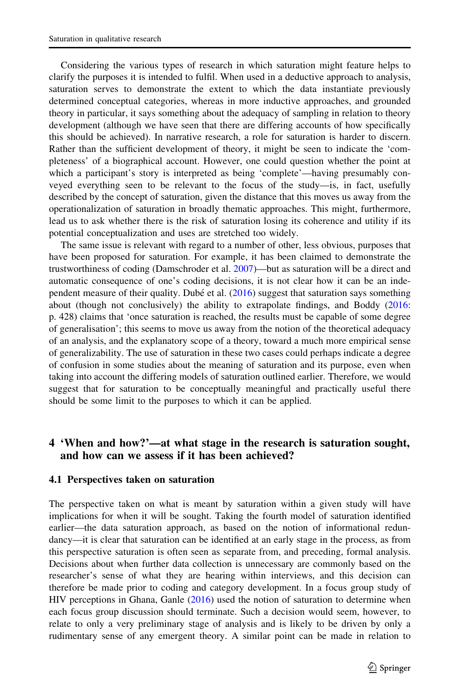Considering the various types of research in which saturation might feature helps to clarify the purposes it is intended to fulfil. When used in a deductive approach to analysis, saturation serves to demonstrate the extent to which the data instantiate previously determined conceptual categories, whereas in more inductive approaches, and grounded theory in particular, it says something about the adequacy of sampling in relation to theory development (although we have seen that there are differing accounts of how specifically this should be achieved). In narrative research, a role for saturation is harder to discern. Rather than the sufficient development of theory, it might be seen to indicate the 'completeness' of a biographical account. However, one could question whether the point at which a participant's story is interpreted as being 'complete'—having presumably conveyed everything seen to be relevant to the focus of the study—is, in fact, usefully described by the concept of saturation, given the distance that this moves us away from the operationalization of saturation in broadly thematic approaches. This might, furthermore, lead us to ask whether there is the risk of saturation losing its coherence and utility if its potential conceptualization and uses are stretched too widely.

The same issue is relevant with regard to a number of other, less obvious, purposes that have been proposed for saturation. For example, it has been claimed to demonstrate the trustworthiness of coding (Damschroder et al. [2007](#page-12-0))—but as saturation will be a direct and automatic consequence of one's coding decisions, it is not clear how it can be an independent measure of their quality. Dubé et al.  $(2016)$  $(2016)$  suggest that saturation says something about (though not conclusively) the ability to extrapolate findings, and Boddy [\(2016:](#page-12-0) p. 428) claims that 'once saturation is reached, the results must be capable of some degree of generalisation'; this seems to move us away from the notion of the theoretical adequacy of an analysis, and the explanatory scope of a theory, toward a much more empirical sense of generalizability. The use of saturation in these two cases could perhaps indicate a degree of confusion in some studies about the meaning of saturation and its purpose, even when taking into account the differing models of saturation outlined earlier. Therefore, we would suggest that for saturation to be conceptually meaningful and practically useful there should be some limit to the purposes to which it can be applied.

## 4 'When and how?'—at what stage in the research is saturation sought, and how can we assess if it has been achieved?

#### 4.1 Perspectives taken on saturation

The perspective taken on what is meant by saturation within a given study will have implications for when it will be sought. Taking the fourth model of saturation identified earlier—the data saturation approach, as based on the notion of informational redundancy—it is clear that saturation can be identified at an early stage in the process, as from this perspective saturation is often seen as separate from, and preceding, formal analysis. Decisions about when further data collection is unnecessary are commonly based on the researcher's sense of what they are hearing within interviews, and this decision can therefore be made prior to coding and category development. In a focus group study of HIV perceptions in Ghana, Ganle [\(2016](#page-12-0)) used the notion of saturation to determine when each focus group discussion should terminate. Such a decision would seem, however, to relate to only a very preliminary stage of analysis and is likely to be driven by only a rudimentary sense of any emergent theory. A similar point can be made in relation to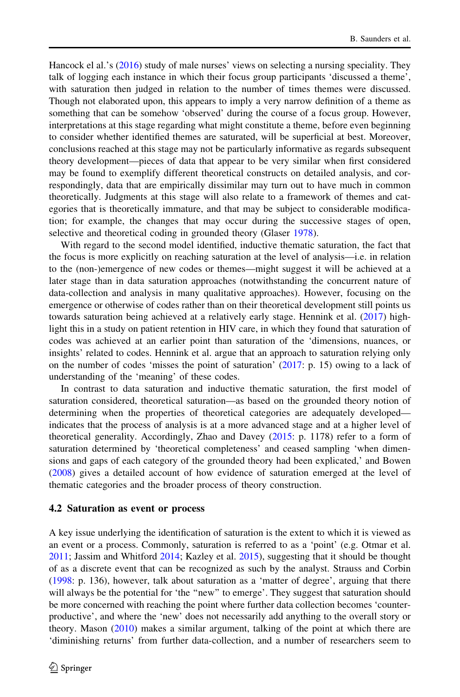Hancock el al.'s ([2016\)](#page-13-0) study of male nurses' views on selecting a nursing speciality. They talk of logging each instance in which their focus group participants 'discussed a theme', with saturation then judged in relation to the number of times themes were discussed. Though not elaborated upon, this appears to imply a very narrow definition of a theme as something that can be somehow 'observed' during the course of a focus group. However, interpretations at this stage regarding what might constitute a theme, before even beginning to consider whether identified themes are saturated, will be superficial at best. Moreover, conclusions reached at this stage may not be particularly informative as regards subsequent theory development—pieces of data that appear to be very similar when first considered may be found to exemplify different theoretical constructs on detailed analysis, and correspondingly, data that are empirically dissimilar may turn out to have much in common theoretically. Judgments at this stage will also relate to a framework of themes and categories that is theoretically immature, and that may be subject to considerable modification; for example, the changes that may occur during the successive stages of open, selective and theoretical coding in grounded theory (Glaser [1978](#page-12-0)).

With regard to the second model identified, inductive thematic saturation, the fact that the focus is more explicitly on reaching saturation at the level of analysis—i.e. in relation to the (non-)emergence of new codes or themes—might suggest it will be achieved at a later stage than in data saturation approaches (notwithstanding the concurrent nature of data-collection and analysis in many qualitative approaches). However, focusing on the emergence or otherwise of codes rather than on their theoretical development still points us towards saturation being achieved at a relatively early stage. Hennink et al. [\(2017](#page-13-0)) highlight this in a study on patient retention in HIV care, in which they found that saturation of codes was achieved at an earlier point than saturation of the 'dimensions, nuances, or insights' related to codes. Hennink et al. argue that an approach to saturation relying only on the number of codes 'misses the point of saturation' ([2017:](#page-13-0) p. 15) owing to a lack of understanding of the 'meaning' of these codes.

In contrast to data saturation and inductive thematic saturation, the first model of saturation considered, theoretical saturation—as based on the grounded theory notion of determining when the properties of theoretical categories are adequately developed indicates that the process of analysis is at a more advanced stage and at a higher level of theoretical generality. Accordingly, Zhao and Davey [\(2015](#page-14-0): p. 1178) refer to a form of saturation determined by 'theoretical completeness' and ceased sampling 'when dimensions and gaps of each category of the grounded theory had been explicated,' and Bowen ([2008\)](#page-12-0) gives a detailed account of how evidence of saturation emerged at the level of thematic categories and the broader process of theory construction.

#### 4.2 Saturation as event or process

A key issue underlying the identification of saturation is the extent to which it is viewed as an event or a process. Commonly, saturation is referred to as a 'point' (e.g. Otmar et al. [2011;](#page-14-0) Jassim and Whitford [2014;](#page-13-0) Kazley et al. [2015](#page-13-0)), suggesting that it should be thought of as a discrete event that can be recognized as such by the analyst. Strauss and Corbin ([1998:](#page-14-0) p. 136), however, talk about saturation as a 'matter of degree', arguing that there will always be the potential for 'the "new" to emerge'. They suggest that saturation should be more concerned with reaching the point where further data collection becomes 'counterproductive', and where the 'new' does not necessarily add anything to the overall story or theory. Mason [\(2010](#page-13-0)) makes a similar argument, talking of the point at which there are 'diminishing returns' from further data-collection, and a number of researchers seem to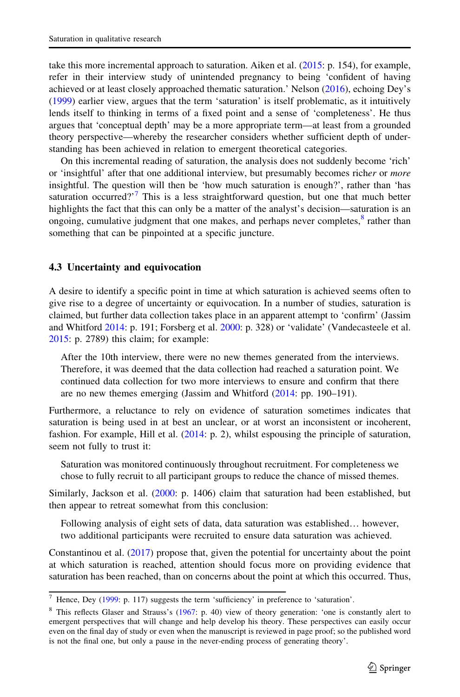take this more incremental approach to saturation. Aiken et al. [\(2015:](#page-12-0) p. 154), for example, refer in their interview study of unintended pregnancy to being 'confident of having achieved or at least closely approached thematic saturation.' Nelson ([2016\)](#page-13-0), echoing Dey's ([1999\)](#page-12-0) earlier view, argues that the term 'saturation' is itself problematic, as it intuitively lends itself to thinking in terms of a fixed point and a sense of 'completeness'. He thus argues that 'conceptual depth' may be a more appropriate term—at least from a grounded theory perspective—whereby the researcher considers whether sufficient depth of understanding has been achieved in relation to emergent theoretical categories.

On this incremental reading of saturation, the analysis does not suddenly become 'rich' or 'insightful' after that one additional interview, but presumably becomes richer or more insightful. The question will then be 'how much saturation is enough?', rather than 'has saturation occurred?<sup>'7</sup> This is a less straightforward question, but one that much better highlights the fact that this can only be a matter of the analyst's decision—saturation is an ongoing, cumulative judgment that one makes, and perhaps never completes,<sup>8</sup> rather than something that can be pinpointed at a specific juncture.

## 4.3 Uncertainty and equivocation

A desire to identify a specific point in time at which saturation is achieved seems often to give rise to a degree of uncertainty or equivocation. In a number of studies, saturation is claimed, but further data collection takes place in an apparent attempt to 'confirm' (Jassim and Whitford [2014](#page-13-0): p. 191; Forsberg et al. [2000](#page-12-0): p. 328) or 'validate' (Vandecasteele et al. [2015:](#page-14-0) p. 2789) this claim; for example:

After the 10th interview, there were no new themes generated from the interviews. Therefore, it was deemed that the data collection had reached a saturation point. We continued data collection for two more interviews to ensure and confirm that there are no new themes emerging (Jassim and Whitford ([2014:](#page-13-0) pp. 190–191).

Furthermore, a reluctance to rely on evidence of saturation sometimes indicates that saturation is being used in at best an unclear, or at worst an inconsistent or incoherent, fashion. For example, Hill et al. [\(2014](#page-13-0): p. 2), whilst espousing the principle of saturation, seem not fully to trust it:

Saturation was monitored continuously throughout recruitment. For completeness we chose to fully recruit to all participant groups to reduce the chance of missed themes.

Similarly, Jackson et al. [\(2000](#page-13-0): p. 1406) claim that saturation had been established, but then appear to retreat somewhat from this conclusion:

Following analysis of eight sets of data, data saturation was established… however, two additional participants were recruited to ensure data saturation was achieved.

Constantinou et al. ([2017\)](#page-12-0) propose that, given the potential for uncertainty about the point at which saturation is reached, attention should focus more on providing evidence that saturation has been reached, than on concerns about the point at which this occurred. Thus,

Hence, Dey [\(1999](#page-12-0): p. 117) suggests the term 'sufficiency' in preference to 'saturation'.

<sup>&</sup>lt;sup>8</sup> This reflects Glaser and Strauss's ([1967:](#page-13-0) p. 40) view of theory generation: 'one is constantly alert to emergent perspectives that will change and help develop his theory. These perspectives can easily occur even on the final day of study or even when the manuscript is reviewed in page proof; so the published word is not the final one, but only a pause in the never-ending process of generating theory'.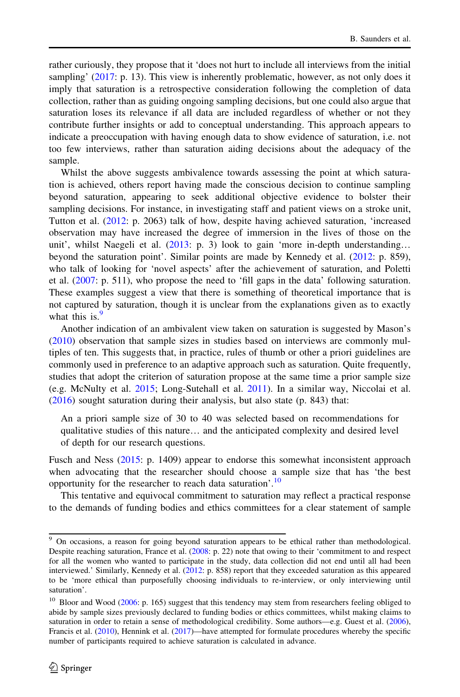rather curiously, they propose that it 'does not hurt to include all interviews from the initial sampling' ([2017:](#page-12-0) p. 13). This view is inherently problematic, however, as not only does it imply that saturation is a retrospective consideration following the completion of data collection, rather than as guiding ongoing sampling decisions, but one could also argue that saturation loses its relevance if all data are included regardless of whether or not they contribute further insights or add to conceptual understanding. This approach appears to indicate a preoccupation with having enough data to show evidence of saturation, i.e. not too few interviews, rather than saturation aiding decisions about the adequacy of the sample.

Whilst the above suggests ambivalence towards assessing the point at which saturation is achieved, others report having made the conscious decision to continue sampling beyond saturation, appearing to seek additional objective evidence to bolster their sampling decisions. For instance, in investigating staff and patient views on a stroke unit, Tutton et al. ([2012:](#page-14-0) p. 2063) talk of how, despite having achieved saturation, 'increased observation may have increased the degree of immersion in the lives of those on the unit', whilst Naegeli et al. ([2013:](#page-13-0) p. 3) look to gain 'more in-depth understanding... beyond the saturation point'. Similar points are made by Kennedy et al. [\(2012](#page-13-0): p. 859), who talk of looking for 'novel aspects' after the achievement of saturation, and Poletti et al. [\(2007](#page-14-0): p. 511), who propose the need to 'fill gaps in the data' following saturation. These examples suggest a view that there is something of theoretical importance that is not captured by saturation, though it is unclear from the explanations given as to exactly what this is.<sup>9</sup>

Another indication of an ambivalent view taken on saturation is suggested by Mason's ([2010\)](#page-13-0) observation that sample sizes in studies based on interviews are commonly multiples of ten. This suggests that, in practice, rules of thumb or other a priori guidelines are commonly used in preference to an adaptive approach such as saturation. Quite frequently, studies that adopt the criterion of saturation propose at the same time a prior sample size (e.g. McNulty et al. [2015](#page-13-0); Long-Sutehall et al. [2011](#page-13-0)). In a similar way, Niccolai et al. ([2016\)](#page-14-0) sought saturation during their analysis, but also state (p. 843) that:

An a priori sample size of 30 to 40 was selected based on recommendations for qualitative studies of this nature… and the anticipated complexity and desired level of depth for our research questions.

Fusch and Ness [\(2015](#page-12-0): p. 1409) appear to endorse this somewhat inconsistent approach when advocating that the researcher should choose a sample size that has 'the best opportunity for the researcher to reach data saturation'.<sup>10</sup>

This tentative and equivocal commitment to saturation may reflect a practical response to the demands of funding bodies and ethics committees for a clear statement of sample

<sup>&</sup>lt;sup>9</sup> On occasions, a reason for going beyond saturation appears to be ethical rather than methodological. Despite reaching saturation, France et al. [\(2008](#page-12-0): p. 22) note that owing to their 'commitment to and respect for all the women who wanted to participate in the study, data collection did not end until all had been interviewed.' Similarly, Kennedy et al. ([2012](#page-13-0): p. 858) report that they exceeded saturation as this appeared to be 'more ethical than purposefully choosing individuals to re-interview, or only interviewing until saturation'.

<sup>&</sup>lt;sup>10</sup> Bloor and Wood [\(2006](#page-12-0): p. 165) suggest that this tendency may stem from researchers feeling obliged to abide by sample sizes previously declared to funding bodies or ethics committees, whilst making claims to saturation in order to retain a sense of methodological credibility. Some authors—e.g. Guest et al. [\(2006\)](#page-13-0), Francis et al. [\(2010](#page-12-0)), Hennink et al. ([2017\)](#page-13-0)—have attempted for formulate procedures whereby the specific number of participants required to achieve saturation is calculated in advance.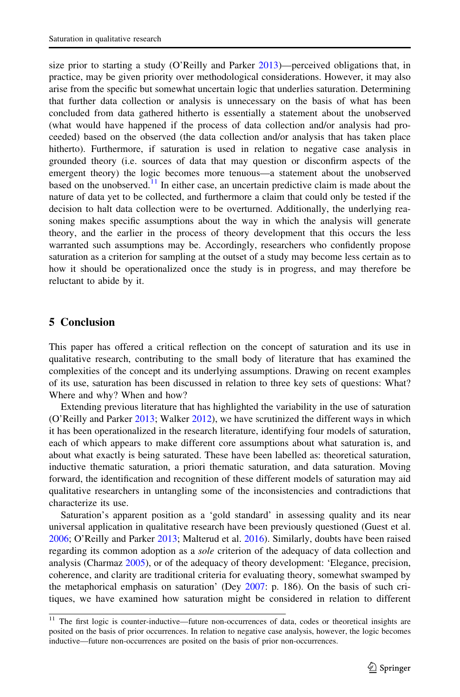size prior to starting a study (O'Reilly and Parker [2013](#page-14-0))—perceived obligations that, in practice, may be given priority over methodological considerations. However, it may also arise from the specific but somewhat uncertain logic that underlies saturation. Determining that further data collection or analysis is unnecessary on the basis of what has been concluded from data gathered hitherto is essentially a statement about the unobserved (what would have happened if the process of data collection and/or analysis had proceeded) based on the observed (the data collection and/or analysis that has taken place hitherto). Furthermore, if saturation is used in relation to negative case analysis in grounded theory (i.e. sources of data that may question or disconfirm aspects of the emergent theory) the logic becomes more tenuous—a statement about the unobserved based on the unobserved.<sup>11</sup> In either case, an uncertain predictive claim is made about the nature of data yet to be collected, and furthermore a claim that could only be tested if the decision to halt data collection were to be overturned. Additionally, the underlying reasoning makes specific assumptions about the way in which the analysis will generate theory, and the earlier in the process of theory development that this occurs the less warranted such assumptions may be. Accordingly, researchers who confidently propose saturation as a criterion for sampling at the outset of a study may become less certain as to how it should be operationalized once the study is in progress, and may therefore be reluctant to abide by it.

# 5 Conclusion

This paper has offered a critical reflection on the concept of saturation and its use in qualitative research, contributing to the small body of literature that has examined the complexities of the concept and its underlying assumptions. Drawing on recent examples of its use, saturation has been discussed in relation to three key sets of questions: What? Where and why? When and how?

Extending previous literature that has highlighted the variability in the use of saturation (O'Reilly and Parker [2013;](#page-14-0) Walker [2012](#page-14-0)), we have scrutinized the different ways in which it has been operationalized in the research literature, identifying four models of saturation, each of which appears to make different core assumptions about what saturation is, and about what exactly is being saturated. These have been labelled as: theoretical saturation, inductive thematic saturation, a priori thematic saturation, and data saturation. Moving forward, the identification and recognition of these different models of saturation may aid qualitative researchers in untangling some of the inconsistencies and contradictions that characterize its use.

Saturation's apparent position as a 'gold standard' in assessing quality and its near universal application in qualitative research have been previously questioned (Guest et al. [2006;](#page-13-0) O'Reilly and Parker [2013](#page-14-0); Malterud et al. [2016](#page-13-0)). Similarly, doubts have been raised regarding its common adoption as a *sole* criterion of the adequacy of data collection and analysis (Charmaz [2005\)](#page-12-0), or of the adequacy of theory development: 'Elegance, precision, coherence, and clarity are traditional criteria for evaluating theory, somewhat swamped by the metaphorical emphasis on saturation' (Dey [2007](#page-12-0): p. 186). On the basis of such critiques, we have examined how saturation might be considered in relation to different

<sup>&</sup>lt;sup>11</sup> The first logic is counter-inductive—future non-occurrences of data, codes or theoretical insights are posited on the basis of prior occurrences. In relation to negative case analysis, however, the logic becomes inductive—future non-occurrences are posited on the basis of prior non-occurrences.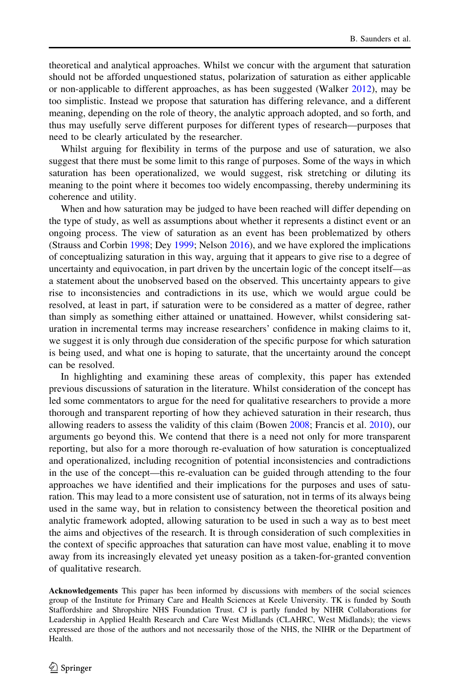theoretical and analytical approaches. Whilst we concur with the argument that saturation should not be afforded unquestioned status, polarization of saturation as either applicable or non-applicable to different approaches, as has been suggested (Walker [2012](#page-14-0)), may be too simplistic. Instead we propose that saturation has differing relevance, and a different meaning, depending on the role of theory, the analytic approach adopted, and so forth, and thus may usefully serve different purposes for different types of research—purposes that need to be clearly articulated by the researcher.

Whilst arguing for flexibility in terms of the purpose and use of saturation, we also suggest that there must be some limit to this range of purposes. Some of the ways in which saturation has been operationalized, we would suggest, risk stretching or diluting its meaning to the point where it becomes too widely encompassing, thereby undermining its coherence and utility.

When and how saturation may be judged to have been reached will differ depending on the type of study, as well as assumptions about whether it represents a distinct event or an ongoing process. The view of saturation as an event has been problematized by others (Strauss and Corbin [1998](#page-14-0); Dey [1999](#page-12-0); Nelson [2016](#page-13-0)), and we have explored the implications of conceptualizing saturation in this way, arguing that it appears to give rise to a degree of uncertainty and equivocation, in part driven by the uncertain logic of the concept itself—as a statement about the unobserved based on the observed. This uncertainty appears to give rise to inconsistencies and contradictions in its use, which we would argue could be resolved, at least in part, if saturation were to be considered as a matter of degree, rather than simply as something either attained or unattained. However, whilst considering saturation in incremental terms may increase researchers' confidence in making claims to it, we suggest it is only through due consideration of the specific purpose for which saturation is being used, and what one is hoping to saturate, that the uncertainty around the concept can be resolved.

In highlighting and examining these areas of complexity, this paper has extended previous discussions of saturation in the literature. Whilst consideration of the concept has led some commentators to argue for the need for qualitative researchers to provide a more thorough and transparent reporting of how they achieved saturation in their research, thus allowing readers to assess the validity of this claim (Bowen [2008;](#page-12-0) Francis et al. [2010\)](#page-12-0), our arguments go beyond this. We contend that there is a need not only for more transparent reporting, but also for a more thorough re-evaluation of how saturation is conceptualized and operationalized, including recognition of potential inconsistencies and contradictions in the use of the concept—this re-evaluation can be guided through attending to the four approaches we have identified and their implications for the purposes and uses of saturation. This may lead to a more consistent use of saturation, not in terms of its always being used in the same way, but in relation to consistency between the theoretical position and analytic framework adopted, allowing saturation to be used in such a way as to best meet the aims and objectives of the research. It is through consideration of such complexities in the context of specific approaches that saturation can have most value, enabling it to move away from its increasingly elevated yet uneasy position as a taken-for-granted convention of qualitative research.

Acknowledgements This paper has been informed by discussions with members of the social sciences group of the Institute for Primary Care and Health Sciences at Keele University. TK is funded by South Staffordshire and Shropshire NHS Foundation Trust. CJ is partly funded by NIHR Collaborations for Leadership in Applied Health Research and Care West Midlands (CLAHRC, West Midlands); the views expressed are those of the authors and not necessarily those of the NHS, the NIHR or the Department of Health.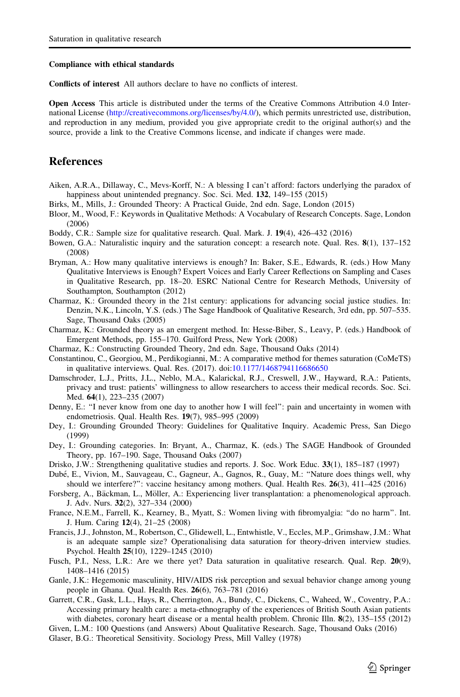#### <span id="page-12-0"></span>Compliance with ethical standards

Conflicts of interest All authors declare to have no conflicts of interest.

Open Access This article is distributed under the terms of the Creative Commons Attribution 4.0 International License [\(http://creativecommons.org/licenses/by/4.0/\)](http://creativecommons.org/licenses/by/4.0/), which permits unrestricted use, distribution, and reproduction in any medium, provided you give appropriate credit to the original author(s) and the source, provide a link to the Creative Commons license, and indicate if changes were made.

# References

- Aiken, A.R.A., Dillaway, C., Mevs-Korff, N.: A blessing I can't afford: factors underlying the paradox of happiness about unintended pregnancy. Soc. Sci. Med. 132, 149–155 (2015)
- Birks, M., Mills, J.: Grounded Theory: A Practical Guide, 2nd edn. Sage, London (2015)
- Bloor, M., Wood, F.: Keywords in Qualitative Methods: A Vocabulary of Research Concepts. Sage, London (2006)
- Boddy, C.R.: Sample size for qualitative research. Qual. Mark. J. 19(4), 426–432 (2016)
- Bowen, G.A.: Naturalistic inquiry and the saturation concept: a research note. Qual. Res. 8(1), 137–152 (2008)
- Bryman, A.: How many qualitative interviews is enough? In: Baker, S.E., Edwards, R. (eds.) How Many Qualitative Interviews is Enough? Expert Voices and Early Career Reflections on Sampling and Cases in Qualitative Research, pp. 18–20. ESRC National Centre for Research Methods, University of Southampton, Southampton (2012)
- Charmaz, K.: Grounded theory in the 21st century: applications for advancing social justice studies. In: Denzin, N.K., Lincoln, Y.S. (eds.) The Sage Handbook of Qualitative Research, 3rd edn, pp. 507–535. Sage, Thousand Oaks (2005)
- Charmaz, K.: Grounded theory as an emergent method. In: Hesse-Biber, S., Leavy, P. (eds.) Handbook of Emergent Methods, pp. 155–170. Guilford Press, New York (2008)
- Charmaz, K.: Constructing Grounded Theory, 2nd edn. Sage, Thousand Oaks (2014)
- Constantinou, C., Georgiou, M., Perdikogianni, M.: A comparative method for themes saturation (CoMeTS) in qualitative interviews. Qual. Res. (2017). doi:[10.1177/1468794116686650](http://dx.doi.org/10.1177/1468794116686650)
- Damschroder, L.J., Pritts, J.L., Neblo, M.A., Kalarickal, R.J., Creswell, J.W., Hayward, R.A.: Patients, privacy and trust: patients' willingness to allow researchers to access their medical records. Soc. Sci. Med. 64(1), 223–235 (2007)
- Denny, E.: ''I never know from one day to another how I will feel'': pain and uncertainty in women with endometriosis. Qual. Health Res. 19(7), 985–995 (2009)
- Dey, I.: Grounding Grounded Theory: Guidelines for Qualitative Inquiry. Academic Press, San Diego (1999)
- Dey, I.: Grounding categories. In: Bryant, A., Charmaz, K. (eds.) The SAGE Handbook of Grounded Theory, pp. 167–190. Sage, Thousand Oaks (2007)
- Drisko, J.W.: Strengthening qualitative studies and reports. J. Soc. Work Educ. 33(1), 185–187 (1997)
- Dubé, E., Vivion, M., Sauvageau, C., Gagneur, A., Gagnos, R., Guay, M.: "Nature does things well, why should we interfere?": vaccine hesitancy among mothers. Qual. Health Res. 26(3), 411-425 (2016)
- Forsberg, A., Bäckman, L., Möller, A.: Experiencing liver transplantation: a phenomenological approach. J. Adv. Nurs. 32(2), 327–334 (2000)
- France, N.E.M., Farrell, K., Kearney, B., Myatt, S.: Women living with fibromyalgia: ''do no harm''. Int. J. Hum. Caring 12(4), 21–25 (2008)
- Francis, J.J., Johnston, M., Robertson, C., Glidewell, L., Entwhistle, V., Eccles, M.P., Grimshaw, J.M.: What is an adequate sample size? Operationalising data saturation for theory-driven interview studies. Psychol. Health 25(10), 1229–1245 (2010)
- Fusch, P.I., Ness, L.R.: Are we there yet? Data saturation in qualitative research. Qual. Rep. 20(9), 1408–1416 (2015)
- Ganle, J.K.: Hegemonic masculinity, HIV/AIDS risk perception and sexual behavior change among young people in Ghana. Qual. Health Res. 26(6), 763–781 (2016)

Garrett, C.R., Gask, L.L., Hays, R., Cherrington, A., Bundy, C., Dickens, C., Waheed, W., Coventry, P.A.: Accessing primary health care: a meta-ethnography of the experiences of British South Asian patients with diabetes, coronary heart disease or a mental health problem. Chronic Illn. **8**(2), 135–155 (2012)

Given, L.M.: 100 Questions (and Answers) About Qualitative Research. Sage, Thousand Oaks (2016)

Glaser, B.G.: Theoretical Sensitivity. Sociology Press, Mill Valley (1978)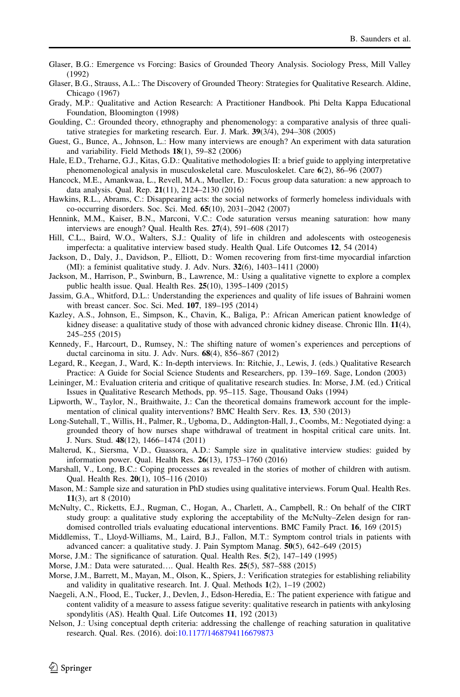- <span id="page-13-0"></span>Glaser, B.G.: Emergence vs Forcing: Basics of Grounded Theory Analysis. Sociology Press, Mill Valley (1992)
- Glaser, B.G., Strauss, A.L.: The Discovery of Grounded Theory: Strategies for Qualitative Research. Aldine, Chicago (1967)
- Grady, M.P.: Qualitative and Action Research: A Practitioner Handbook. Phi Delta Kappa Educational Foundation, Bloomington (1998)
- Goulding, C.: Grounded theory, ethnography and phenomenology: a comparative analysis of three qualitative strategies for marketing research. Eur. J. Mark. 39(3/4), 294–308 (2005)
- Guest, G., Bunce, A., Johnson, L.: How many interviews are enough? An experiment with data saturation and variability. Field Methods 18(1), 59–82 (2006)
- Hale, E.D., Treharne, G.J., Kitas, G.D.: Qualitative methodologies II: a brief guide to applying interpretative phenomenological analysis in musculoskeletal care. Musculoskelet. Care 6(2), 86–96 (2007)
- Hancock, M.E., Amankwaa, L., Revell, M.A., Mueller, D.: Focus group data saturation: a new approach to data analysis. Qual. Rep. 21(11), 2124–2130 (2016)
- Hawkins, R.L., Abrams, C.: Disappearing acts: the social networks of formerly homeless individuals with co-occurring disorders. Soc. Sci. Med. 65(10), 2031–2042 (2007)
- Hennink, M.M., Kaiser, B.N., Marconi, V.C.: Code saturation versus meaning saturation: how many interviews are enough? Qual. Health Res. 27(4), 591–608 (2017)
- Hill, C.L., Baird, W.O., Walters, S.J.: Quality of life in children and adolescents with osteogenesis imperfecta: a qualitative interview based study. Health Qual. Life Outcomes 12, 54 (2014)
- Jackson, D., Daly, J., Davidson, P., Elliott, D.: Women recovering from first-time myocardial infarction (MI): a feminist qualitative study. J. Adv. Nurs. 32(6), 1403–1411 (2000)
- Jackson, M., Harrison, P., Swinburn, B., Lawrence, M.: Using a qualitative vignette to explore a complex public health issue. Qual. Health Res. 25(10), 1395–1409 (2015)
- Jassim, G.A., Whitford, D.L.: Understanding the experiences and quality of life issues of Bahraini women with breast cancer. Soc. Sci. Med. 107, 189–195 (2014)
- Kazley, A.S., Johnson, E., Simpson, K., Chavin, K., Baliga, P.: African American patient knowledge of kidney disease: a qualitative study of those with advanced chronic kidney disease. Chronic Illn. 11(4), 245–255 (2015)
- Kennedy, F., Harcourt, D., Rumsey, N.: The shifting nature of women's experiences and perceptions of ductal carcinoma in situ. J. Adv. Nurs. 68(4), 856–867 (2012)
- Legard, R., Keegan, J., Ward, K.: In-depth interviews. In: Ritchie, J., Lewis, J. (eds.) Qualitative Research Practice: A Guide for Social Science Students and Researchers, pp. 139–169. Sage, London (2003)
- Leininger, M.: Evaluation criteria and critique of qualitative research studies. In: Morse, J.M. (ed.) Critical Issues in Qualitative Research Methods, pp. 95–115. Sage, Thousand Oaks (1994)
- Lipworth, W., Taylor, N., Braithwaite, J.: Can the theoretical domains framework account for the implementation of clinical quality interventions? BMC Health Serv. Res. 13, 530 (2013)
- Long-Sutehall, T., Willis, H., Palmer, R., Ugboma, D., Addington-Hall, J., Coombs, M.: Negotiated dying: a grounded theory of how nurses shape withdrawal of treatment in hospital critical care units. Int. J. Nurs. Stud. 48(12), 1466–1474 (2011)
- Malterud, K., Siersma, V.D., Guassora, A.D.: Sample size in qualitative interview studies: guided by information power. Qual. Health Res. 26(13), 1753–1760 (2016)
- Marshall, V., Long, B.C.: Coping processes as revealed in the stories of mother of children with autism. Qual. Health Res. 20(1), 105–116 (2010)
- Mason, M.: Sample size and saturation in PhD studies using qualitative interviews. Forum Qual. Health Res. 11(3), art 8 (2010)
- McNulty, C., Ricketts, E.J., Rugman, C., Hogan, A., Charlett, A., Campbell, R.: On behalf of the CIRT study group: a qualitative study exploring the acceptability of the McNulty–Zelen design for randomised controlled trials evaluating educational interventions. BMC Family Pract. 16, 169 (2015)
- Middlemiss, T., Lloyd-Williams, M., Laird, B.J., Fallon, M.T.: Symptom control trials in patients with advanced cancer: a qualitative study. J. Pain Symptom Manag. 50(5), 642–649 (2015)
- Morse, J.M.: The significance of saturation. Qual. Health Res. 5(2), 147–149 (1995)
- Morse, J.M.: Data were saturated…. Qual. Health Res. 25(5), 587–588 (2015)
- Morse, J.M., Barrett, M., Mayan, M., Olson, K., Spiers, J.: Verification strategies for establishing reliability and validity in qualitative research. Int. J. Qual. Methods 1(2), 1–19 (2002)
- Naegeli, A.N., Flood, E., Tucker, J., Devlen, J., Edson-Heredia, E.: The patient experience with fatigue and content validity of a measure to assess fatigue severity: qualitative research in patients with ankylosing spondylitis (AS). Health Qual. Life Outcomes 11, 192 (2013)
- Nelson, J.: Using conceptual depth criteria: addressing the challenge of reaching saturation in qualitative research. Qual. Res. (2016). doi:[10.1177/1468794116679873](http://dx.doi.org/10.1177/1468794116679873)